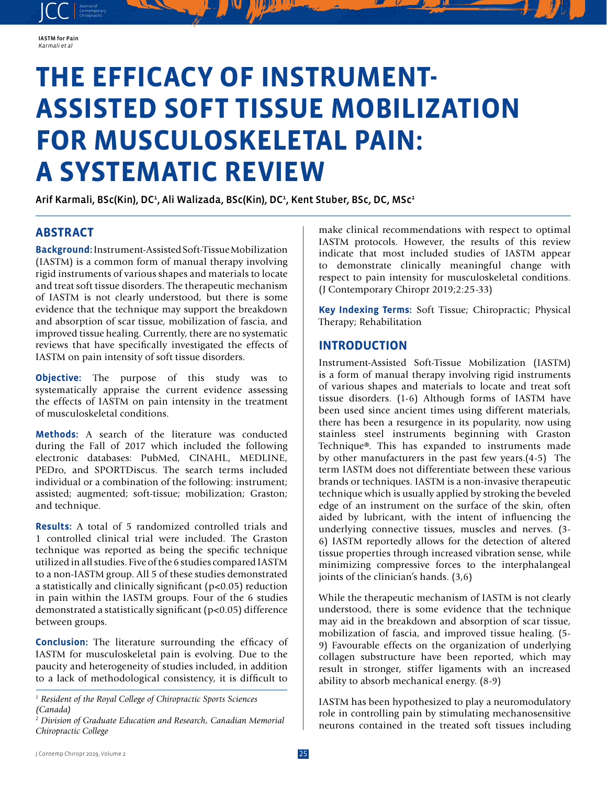

JCC contemporary Contemporary

# **THE EFFICACY OF INSTRUMENT-ASSISTED SOFT TISSUE MOBILIZATION FOR MUSCULOSKELETAL PAIN: A SYSTEMATIC REVIEW**

Arif Karmali, BSc(Kin), DC<sup>1</sup>, Ali Walizada, BSc(Kin), DC<sup>1</sup>, Kent Stuber, BSc, DC, MSc<sup>2</sup>

# **ABSTRACT**

**Background:** Instrument-Assisted Soft-Tissue Mobilization (IASTM) is a common form of manual therapy involving rigid instruments of various shapes and materials to locate and treat soft tissue disorders. The therapeutic mechanism of IASTM is not clearly understood, but there is some evidence that the technique may support the breakdown and absorption of scar tissue, mobilization of fascia, and improved tissue healing. Currently, there are no systematic reviews that have specifically investigated the effects of IASTM on pain intensity of soft tissue disorders.

**Objective:** The purpose of this study was to systematically appraise the current evidence assessing the effects of IASTM on pain intensity in the treatment of musculoskeletal conditions.

**Methods:** A search of the literature was conducted during the Fall of 2017 which included the following electronic databases: PubMed, CINAHL, MEDLINE, PEDro, and SPORTDiscus. The search terms included individual or a combination of the following: instrument; assisted; augmented; soft-tissue; mobilization; Graston; and technique.

**Results:** A total of 5 randomized controlled trials and 1 controlled clinical trial were included. The Graston technique was reported as being the specific technique utilized in all studies. Five of the 6 studies compared IASTM to a non-IASTM group. All 5 of these studies demonstrated a statistically and clinically significant (p<0.05) reduction in pain within the IASTM groups. Four of the 6 studies demonstrated a statistically significant (p<0.05) difference between groups.

**Conclusion:** The literature surrounding the efficacy of IASTM for musculoskeletal pain is evolving. Due to the paucity and heterogeneity of studies included, in addition to a lack of methodological consistency, it is difficult to

make clinical recommendations with respect to optimal IASTM protocols. However, the results of this review indicate that most included studies of IASTM appear to demonstrate clinically meaningful change with respect to pain intensity for musculoskeletal conditions. (J Contemporary Chiropr 2019;2:25-33)

**Key Indexing Terms:** Soft Tissue; Chiropractic; Physical Therapy; Rehabilitation

## **INTRODUCTION**

Instrument-Assisted Soft-Tissue Mobilization (IASTM) is a form of manual therapy involving rigid instruments of various shapes and materials to locate and treat soft tissue disorders. (1-6) Although forms of IASTM have been used since ancient times using different materials, there has been a resurgence in its popularity, now using stainless steel instruments beginning with Graston Technique®. This has expanded to instruments made by other manufacturers in the past few years.(4-5) The term IASTM does not differentiate between these various brands or techniques. IASTM is a non-invasive therapeutic technique which is usually applied by stroking the beveled edge of an instrument on the surface of the skin, often aided by lubricant, with the intent of influencing the underlying connective tissues, muscles and nerves. (3- 6) IASTM reportedly allows for the detection of altered tissue properties through increased vibration sense, while minimizing compressive forces to the interphalangeal joints of the clinician's hands. (3,6)

While the therapeutic mechanism of IASTM is not clearly understood, there is some evidence that the technique may aid in the breakdown and absorption of scar tissue, mobilization of fascia, and improved tissue healing. (5- 9) Favourable effects on the organization of underlying collagen substructure have been reported, which may result in stronger, stiffer ligaments with an increased ability to absorb mechanical energy. (8-9)

IASTM has been hypothesized to play a neuromodulatory role in controlling pain by stimulating mechanosensitive neurons contained in the treated soft tissues including

<sup>&</sup>lt;sup>1</sup> Resident of the Royal College of Chiropractic Sports Sciences *(Canada)*

*<sup>2</sup> Division of Graduate Education and Research, Canadian Memorial Chiropractic College*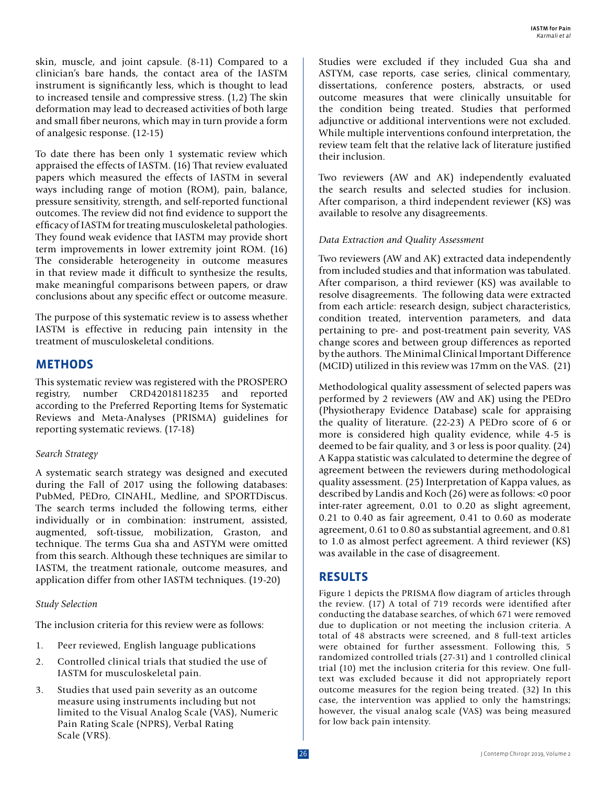skin, muscle, and joint capsule. (8-11) Compared to a clinician's bare hands, the contact area of the IASTM instrument is significantly less, which is thought to lead to increased tensile and compressive stress. (1,2) The skin deformation may lead to decreased activities of both large and small fiber neurons, which may in turn provide a form of analgesic response. (12-15)

To date there has been only 1 systematic review which appraised the effects of IASTM. (16) That review evaluated papers which measured the effects of IASTM in several ways including range of motion (ROM), pain, balance, pressure sensitivity, strength, and self-reported functional outcomes. The review did not find evidence to support the efficacy of IASTM for treating musculoskeletal pathologies. They found weak evidence that IASTM may provide short term improvements in lower extremity joint ROM. (16) The considerable heterogeneity in outcome measures in that review made it difficult to synthesize the results, make meaningful comparisons between papers, or draw conclusions about any specific effect or outcome measure.

The purpose of this systematic review is to assess whether IASTM is effective in reducing pain intensity in the treatment of musculoskeletal conditions.

# **METHODS**

This systematic review was registered with the PROSPERO registry, number CRD42018118235 and reported according to the Preferred Reporting Items for Systematic Reviews and Meta-Analyses (PRISMA) guidelines for reporting systematic reviews. (17-18)

#### *Search Strategy*

A systematic search strategy was designed and executed during the Fall of 2017 using the following databases: PubMed, PEDro, CINAHL, Medline, and SPORTDiscus. The search terms included the following terms, either individually or in combination: instrument, assisted, augmented, soft-tissue, mobilization, Graston, and technique. The terms Gua sha and ASTYM were omitted from this search. Although these techniques are similar to IASTM, the treatment rationale, outcome measures, and application differ from other IASTM techniques. (19-20)

### *Study Selection*

The inclusion criteria for this review were as follows:

- 1. Peer reviewed, English language publications
- 2. Controlled clinical trials that studied the use of IASTM for musculoskeletal pain.
- 3. Studies that used pain severity as an outcome measure using instruments including but not limited to the Visual Analog Scale (VAS), Numeric Pain Rating Scale (NPRS), Verbal Rating Scale (VRS).

Studies were excluded if they included Gua sha and ASTYM, case reports, case series, clinical commentary, dissertations, conference posters, abstracts, or used outcome measures that were clinically unsuitable for the condition being treated. Studies that performed adjunctive or additional interventions were not excluded. While multiple interventions confound interpretation, the review team felt that the relative lack of literature justified their inclusion.

Two reviewers (AW and AK) independently evaluated the search results and selected studies for inclusion. After comparison, a third independent reviewer (KS) was available to resolve any disagreements.

# *Data Extraction and Quality Assessment*

Two reviewers (AW and AK) extracted data independently from included studies and that information was tabulated. After comparison, a third reviewer (KS) was available to resolve disagreements. The following data were extracted from each article: research design, subject characteristics, condition treated, intervention parameters, and data pertaining to pre- and post-treatment pain severity, VAS change scores and between group differences as reported by the authors. The Minimal Clinical Important Difference (MCID) utilized in this review was 17mm on the VAS. (21)

Methodological quality assessment of selected papers was performed by 2 reviewers (AW and AK) using the PEDro (Physiotherapy Evidence Database) scale for appraising the quality of literature. (22-23) A PEDro score of 6 or more is considered high quality evidence, while 4-5 is deemed to be fair quality, and 3 or less is poor quality. (24) A Kappa statistic was calculated to determine the degree of agreement between the reviewers during methodological quality assessment. (25) Interpretation of Kappa values, as described by Landis and Koch (26) were as follows: <0 poor inter-rater agreement, 0.01 to 0.20 as slight agreement, 0.21 to 0.40 as fair agreement, 0.41 to 0.60 as moderate agreement, 0.61 to 0.80 as substantial agreement, and 0.81 to 1.0 as almost perfect agreement. A third reviewer (KS) was available in the case of disagreement.

# **RESULTS**

Figure 1 depicts the PRISMA flow diagram of articles through the review. (17) A total of 719 records were identified after conducting the database searches, of which 671 were removed due to duplication or not meeting the inclusion criteria. A total of 48 abstracts were screened, and 8 full-text articles were obtained for further assessment. Following this, 5 randomized controlled trials (27-31) and 1 controlled clinical trial (10) met the inclusion criteria for this review. One fulltext was excluded because it did not appropriately report outcome measures for the region being treated. (32) In this case, the intervention was applied to only the hamstrings; however, the visual analog scale (VAS) was being measured for low back pain intensity.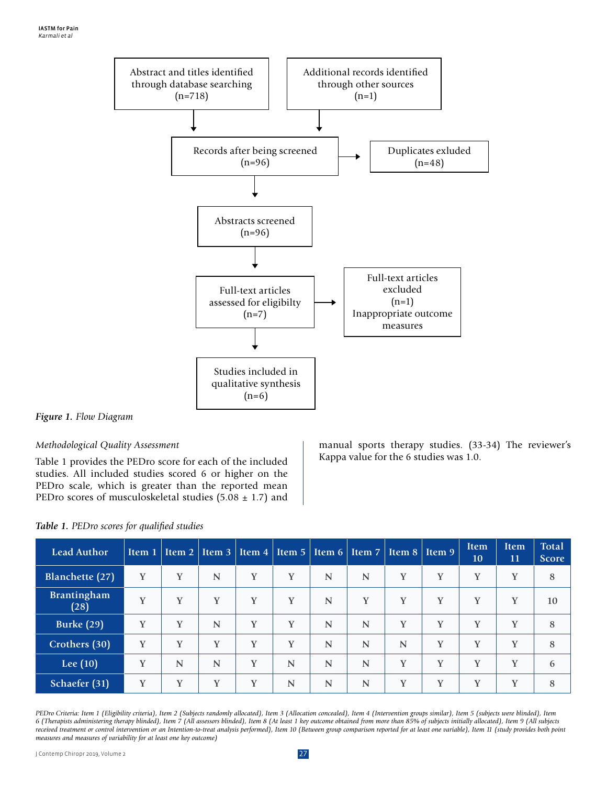

#### *Figure 1. Flow Diagram*

#### *Methodological Quality Assessment*

Table 1 provides the PEDro score for each of the included studies. All included studies scored 6 or higher on the PEDro scale, which is greater than the reported mean PEDro scores of musculoskeletal studies (5.08  $\pm$  1.7) and manual sports therapy studies. (33-34) The reviewer's Kappa value for the 6 studies was 1.0.

| Lead Author                |   | Item 1   Item 2   Item 3   Item 4   Item 5   Item 6   Item 7   Item 8   Item 9 |             |   |   |             |             |             |   | <b>Item</b><br>10 | <b>Item</b><br>11 | <b>Total</b><br><b>Score</b> |
|----------------------------|---|--------------------------------------------------------------------------------|-------------|---|---|-------------|-------------|-------------|---|-------------------|-------------------|------------------------------|
| Blanchette (27)            | Y | Y                                                                              | $\mathbf N$ | Y | Y | N           | $\mathbf N$ | Y           | Y | Y                 | Y                 | 8                            |
| <b>Brantingham</b><br>(28) | Y | Y                                                                              | Y           | Y | Y | N           | Y           | Y           | Y | Y                 | Y                 | 10                           |
| <b>Burke (29)</b>          | v | V                                                                              | N           | Y | Y | N           | $\mathbf N$ | Y           | Y | Y                 | Y                 | 8                            |
| Crothers (30)              | Y | Y                                                                              | Y           | Y | Y | $\mathbf N$ | $\mathbf N$ | $\mathbf N$ | Y | Y                 | Y                 | 8                            |
| Lee $(10)$                 | Y | $\mathbf N$                                                                    | $\mathbf N$ | Y | N | $\mathbf N$ | $\mathbf N$ | Y           | Y | Y                 | Y                 | 6                            |
| Schaefer (31)              | Y | Y                                                                              | Y           | Y | N | N           | $\mathbf N$ | Y           | Y | Y                 | Y                 | 8                            |

#### *Table 1. PEDro scores for qualified studies*

*PEDro Criteria: Item 1 (Eligibility criteria), Item 2 (Subjects randomly allocated), Item 3 (Allocation concealed), Item 4 (Intervention groups similar), Item 5 (subjects were blinded), Item 6 (Therapists administering therapy blinded), Item 7 (All assessors blinded), Item 8 (At least 1 key outcome obtained from more than 85% of subjects initially allocated), Item 9 (All subjects*  received treatment or control intervention or an Intention-to-treat analysis performed), Item 10 (Between group comparison reported for at least one variable), Item 11 (study provides both point *measures and measures of variability for at least one key outcome)*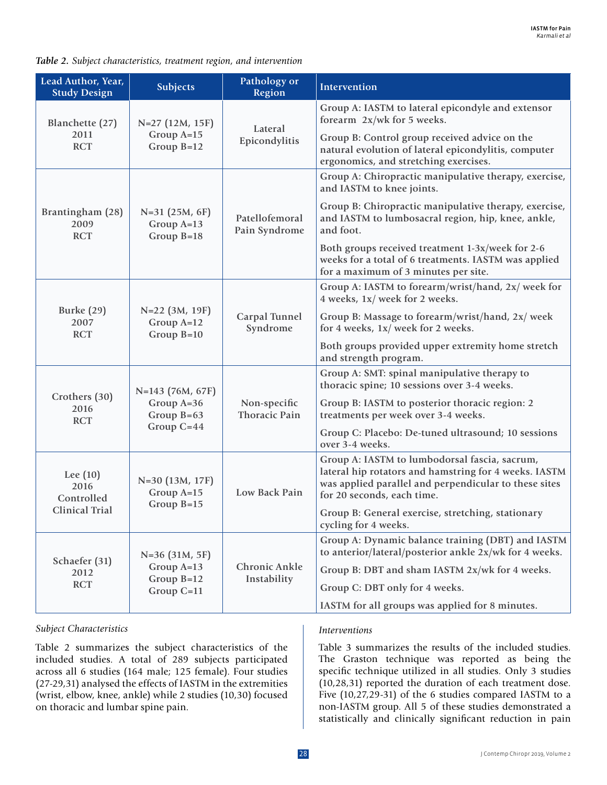| Lead Author, Year,<br><b>Study Design</b> | <b>Subjects</b>                                | Pathology or<br><b>Region</b>        | Intervention                                                                                                                                                                                  |
|-------------------------------------------|------------------------------------------------|--------------------------------------|-----------------------------------------------------------------------------------------------------------------------------------------------------------------------------------------------|
| Blanchette (27)                           | N=27 (12M, 15F)                                |                                      | Group A: IASTM to lateral epicondyle and extensor<br>forearm 2x/wk for 5 weeks.                                                                                                               |
| 2011<br><b>RCT</b>                        | Group A=15<br>Group $B=12$                     | Lateral<br>Epicondylitis             | Group B: Control group received advice on the<br>natural evolution of lateral epicondylitis, computer<br>ergonomics, and stretching exercises.                                                |
|                                           |                                                |                                      | Group A: Chiropractic manipulative therapy, exercise,<br>and IASTM to knee joints.                                                                                                            |
| Brantingham (28)<br>2009<br><b>RCT</b>    | $N=31$ (25M, 6F)<br>Group A=13<br>Group $B=18$ | Patellofemoral<br>Pain Syndrome      | Group B: Chiropractic manipulative therapy, exercise,<br>and IASTM to lumbosacral region, hip, knee, ankle,<br>and foot.                                                                      |
|                                           |                                                |                                      | Both groups received treatment 1-3x/week for 2-6<br>weeks for a total of 6 treatments. IASTM was applied<br>for a maximum of 3 minutes per site.                                              |
|                                           |                                                |                                      | Group A: IASTM to forearm/wrist/hand, 2x/ week for<br>4 weeks, 1x/ week for 2 weeks.                                                                                                          |
| Burke $(29)$<br>2007<br><b>RCT</b>        | N=22 (3M, 19F)<br>Group $A=12$<br>Group $B=10$ | Carpal Tunnel<br>Syndrome            | Group B: Massage to forearm/wrist/hand, 2x/ week<br>for 4 weeks, 1x/ week for 2 weeks.                                                                                                        |
|                                           |                                                |                                      | Both groups provided upper extremity home stretch<br>and strength program.                                                                                                                    |
| Crothers (30)<br>2016<br><b>RCT</b>       | N=143 (76M, 67F)                               |                                      | Group A: SMT: spinal manipulative therapy to<br>thoracic spine; 10 sessions over 3-4 weeks.                                                                                                   |
|                                           | Group A=36<br>Group $B=63$                     | Non-specific<br><b>Thoracic Pain</b> | Group B: IASTM to posterior thoracic region: 2<br>treatments per week over 3-4 weeks.                                                                                                         |
|                                           | Group $C = 44$                                 |                                      | Group C: Placebo: De-tuned ultrasound; 10 sessions<br>over 3-4 weeks.                                                                                                                         |
| Lee $(10)$<br>2016<br>Controlled          | N=30 (13M, 17F)<br>Group A=15                  | Low Back Pain                        | Group A: IASTM to lumbodorsal fascia, sacrum,<br>lateral hip rotators and hamstring for 4 weeks. IASTM<br>was applied parallel and perpendicular to these sites<br>for 20 seconds, each time. |
| <b>Clinical Trial</b>                     | Group $B=15$                                   |                                      | Group B: General exercise, stretching, stationary<br>cycling for 4 weeks.                                                                                                                     |
| Schaefer (31)<br>2012<br><b>RCT</b>       | $N=36$ (31M, 5F)                               |                                      | Group A: Dynamic balance training (DBT) and IASTM<br>to anterior/lateral/posterior ankle 2x/wk for 4 weeks.                                                                                   |
|                                           | Group $A=13$                                   | Chronic Ankle                        | Group B: DBT and sham IASTM 2x/wk for 4 weeks.                                                                                                                                                |
|                                           | Group $B=12$<br>Group $C=11$                   | Instability                          | Group C: DBT only for 4 weeks.                                                                                                                                                                |
|                                           |                                                |                                      | IASTM for all groups was applied for 8 minutes.                                                                                                                                               |

#### *Table 2. Subject characteristics, treatment region, and intervention*

#### *Subject Characteristics*

Table 2 summarizes the subject characteristics of the included studies. A total of 289 subjects participated across all 6 studies (164 male; 125 female). Four studies (27-29,31) analysed the effects of IASTM in the extremities (wrist, elbow, knee, ankle) while 2 studies (10,30) focused on thoracic and lumbar spine pain.

#### *Interventions*

Table 3 summarizes the results of the included studies. The Graston technique was reported as being the specific technique utilized in all studies. Only 3 studies (10,28,31) reported the duration of each treatment dose. Five (10,27,29-31) of the 6 studies compared IASTM to a non-IASTM group. All 5 of these studies demonstrated a statistically and clinically significant reduction in pain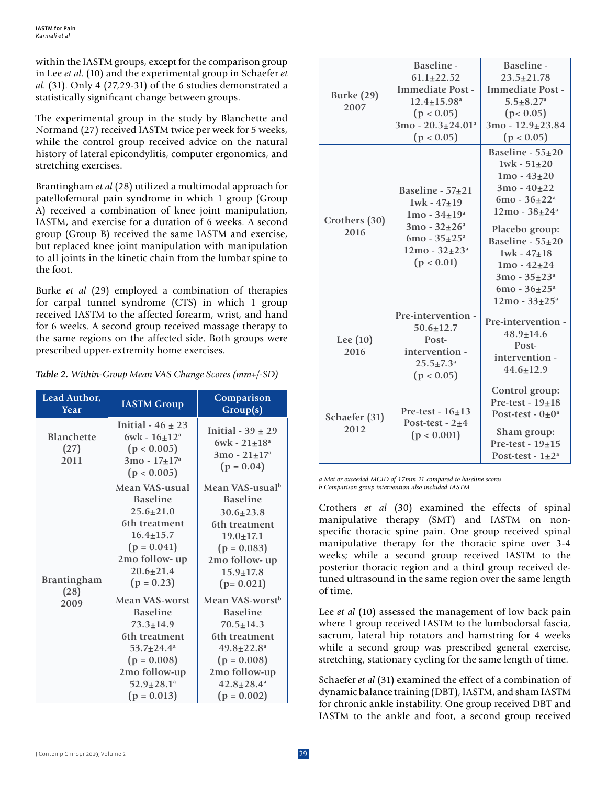within the IASTM groups, except for the comparison group in Lee *et al*. (10) and the experimental group in Schaefer *et al*. (31). Only 4 (27,29-31) of the 6 studies demonstrated a statistically significant change between groups.

The experimental group in the study by Blanchette and Normand (27) received IASTM twice per week for 5 weeks, while the control group received advice on the natural history of lateral epicondylitis, computer ergonomics, and stretching exercises.

Brantingham *et al* (28) utilized a multimodal approach for patellofemoral pain syndrome in which 1 group (Group A) received a combination of knee joint manipulation, IASTM, and exercise for a duration of 6 weeks. A second group (Group B) received the same IASTM and exercise, but replaced knee joint manipulation with manipulation to all joints in the kinetic chain from the lumbar spine to the foot.

Burke *et al* (29) employed a combination of therapies for carpal tunnel syndrome (CTS) in which 1 group received IASTM to the affected forearm, wrist, and hand for 6 weeks. A second group received massage therapy to the same regions on the affected side. Both groups were prescribed upper-extremity home exercises.

| Lead Author,<br>Year               | <b>IASTM Group</b>                                                                                                                                                                                                                                                                                                                    | Comparison<br>Group(s)                                                                                                                                                                                                                                                                                                                                                |  |  |
|------------------------------------|---------------------------------------------------------------------------------------------------------------------------------------------------------------------------------------------------------------------------------------------------------------------------------------------------------------------------------------|-----------------------------------------------------------------------------------------------------------------------------------------------------------------------------------------------------------------------------------------------------------------------------------------------------------------------------------------------------------------------|--|--|
| <b>Blanchette</b><br>(27)<br>2011  | Initial - $46 \pm 23$<br>$6wk - 16 + 12^a$<br>(p < 0.005)<br>$3mo - 17 + 17a$<br>(p < 0.005)                                                                                                                                                                                                                                          | Initial - $39 \pm 29$<br>$6wk - 21 \pm 18^a$<br>$3mo - 21 + 17a$<br>$(p = 0.04)$                                                                                                                                                                                                                                                                                      |  |  |
| <b>Brantingham</b><br>(28)<br>2009 | Mean VAS-usual<br><b>Baseline</b><br>$25.6 + 21.0$<br>6th treatment<br>$16.4 + 15.7$<br>$(p = 0.041)$<br>2mo follow- up<br>$20.6 + 21.4$<br>$(p = 0.23)$<br>Mean VAS-worst<br><b>Baseline</b><br>$73.3 + 14.9$<br>6th treatment<br>$53.7 + 24.4^a$<br>$(p = 0.008)$<br>2mo follow-up<br>$52.9 \pm 28.1$ <sup>a</sup><br>$(p = 0.013)$ | Mean VAS-usualb<br><b>Baseline</b><br>$30.6 \pm 23.8$<br>6th treatment<br>$19.0 \pm 17.1$<br>$(p = 0.083)$<br>2mo follow- up<br>$15.9 \pm 17.8$<br>$(p=0.021)$<br>Mean VAS-worst <sup>b</sup><br><b>Baseline</b><br>$70.5 + 14.3$<br>6th treatment<br>$49.8 \pm 22.8$ <sup>a</sup><br>$(p = 0.008)$<br>2mo follow-up<br>$42.8 \pm 28.4$ <sup>a</sup><br>$(p = 0.002)$ |  |  |

| Table 2. Within-Group Mean VAS Change Scores (mm+/-SD) |  |  |  |  |
|--------------------------------------------------------|--|--|--|--|
|                                                        |  |  |  |  |

| <b>Burke (29)</b><br>2007 | Baseline -<br>$61.1 + 22.52$<br><b>Immediate Post -</b><br>$12.4 + 15.98$ <sup>a</sup><br>(p < 0.05)<br>$3mo - 20.3 \pm 24.01$ <sup>a</sup><br>(p < 0.05) | Baseline -<br>$23.5 + 21.78$<br><b>Immediate Post -</b><br>$5.5 + 8.27$ <sup>a</sup><br>(p < 0.05)<br>$3mo - 12.9 + 23.84$<br>(p < 0.05)                                                                                                                                    |
|---------------------------|-----------------------------------------------------------------------------------------------------------------------------------------------------------|-----------------------------------------------------------------------------------------------------------------------------------------------------------------------------------------------------------------------------------------------------------------------------|
| Crothers (30)<br>2016     | Baseline - $57\pm21$<br>$1wk - 47+19$<br>$1mo - 34 \pm 19a$<br>$3mo - 32 \pm 26^a$<br>$6mo - 35 + 25a$<br>$12mo - 32 \pm 23a$<br>(p < 0.01)               | Baseline - $55\pm20$<br>$1wk - 51{\pm}20$<br>$1mo - 43 + 20$<br>$3mo - 40 + 22$<br>$6mo - 36 \pm 22a$<br>$12mo - 38 + 24a$<br>Placebo group:<br>Baseline - $55\pm20$<br>$1wk - 47 + 18$<br>$1mo - 42 + 24$<br>$3mo - 35 + 23a$<br>$6mo - 36 \pm 25a$<br>$12mo - 33 \pm 25a$ |
| Lee $(10)$<br>2016        | Pre-intervention -<br>$50.6 \pm 12.7$<br>Post-<br>intervention -<br>$25.5 + 7.3^a$<br>(p < 0.05)                                                          | Pre-intervention -<br>$48.9 \pm 14.6$<br>Post-<br>intervention -<br>$44.6 \pm 12.9$                                                                                                                                                                                         |
| Schaefer (31)<br>2012     | Pre-test - $16+13$<br>Post-test - $2+4$<br>(p < 0.001)                                                                                                    | Control group:<br>Pre-test - $19\pm 18$<br>Post-test - $0\pm0^a$<br>Sham group:<br>Pre-test - $19\pm 15$<br>Post-test - $1\pm2^a$                                                                                                                                           |

*a Met or exceeded MCID of 17mm 21 compared to baseline scores b Comparison group intervention also included IASTM*

Crothers *et al* (30) examined the effects of spinal manipulative therapy (SMT) and IASTM on nonspecific thoracic spine pain. One group received spinal manipulative therapy for the thoracic spine over 3-4 weeks; while a second group received IASTM to the posterior thoracic region and a third group received detuned ultrasound in the same region over the same length of time.

Lee *et al* (10) assessed the management of low back pain where 1 group received IASTM to the lumbodorsal fascia, sacrum, lateral hip rotators and hamstring for 4 weeks while a second group was prescribed general exercise, stretching, stationary cycling for the same length of time.

Schaefer *et al* (31) examined the effect of a combination of dynamic balance training (DBT), IASTM, and sham IASTM for chronic ankle instability. One group received DBT and IASTM to the ankle and foot, a second group received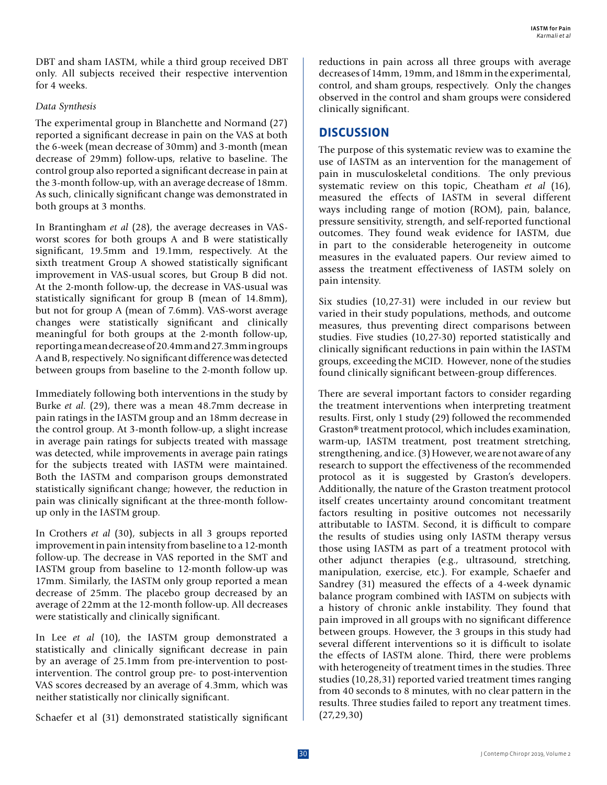DBT and sham IASTM, while a third group received DBT only. All subjects received their respective intervention for 4 weeks.

#### *Data Synthesis*

The experimental group in Blanchette and Normand (27) reported a significant decrease in pain on the VAS at both the 6-week (mean decrease of 30mm) and 3-month (mean decrease of 29mm) follow-ups, relative to baseline. The control group also reported a significant decrease in pain at the 3-month follow-up, with an average decrease of 18mm. As such, clinically significant change was demonstrated in both groups at 3 months.

In Brantingham *et al* (28), the average decreases in VASworst scores for both groups A and B were statistically significant, 19.5mm and 19.1mm, respectively. At the sixth treatment Group A showed statistically significant improvement in VAS-usual scores, but Group B did not. At the 2-month follow-up, the decrease in VAS-usual was statistically significant for group B (mean of 14.8mm), but not for group A (mean of 7.6mm). VAS-worst average changes were statistically significant and clinically meaningful for both groups at the 2-month follow-up, reporting a mean decrease of 20.4mm and 27.3mm in groups A and B, respectively. No significant difference was detected between groups from baseline to the 2-month follow up.

Immediately following both interventions in the study by Burke *et al*. (29), there was a mean 48.7mm decrease in pain ratings in the IASTM group and an 18mm decrease in the control group. At 3-month follow-up, a slight increase in average pain ratings for subjects treated with massage was detected, while improvements in average pain ratings for the subjects treated with IASTM were maintained. Both the IASTM and comparison groups demonstrated statistically significant change; however, the reduction in pain was clinically significant at the three-month followup only in the IASTM group.

In Crothers *et al* (30), subjects in all 3 groups reported improvement in pain intensity from baseline to a 12-month follow-up. The decrease in VAS reported in the SMT and IASTM group from baseline to 12-month follow-up was 17mm. Similarly, the IASTM only group reported a mean decrease of 25mm. The placebo group decreased by an average of 22mm at the 12-month follow-up. All decreases were statistically and clinically significant.

In Lee *et al* (10), the IASTM group demonstrated a statistically and clinically significant decrease in pain by an average of 25.1mm from pre-intervention to postintervention. The control group pre- to post-intervention VAS scores decreased by an average of 4.3mm, which was neither statistically nor clinically significant.

Schaefer et al (31) demonstrated statistically significant

reductions in pain across all three groups with average decreases of 14mm, 19mm, and 18mm in the experimental, control, and sham groups, respectively. Only the changes observed in the control and sham groups were considered clinically significant.

## **DISCUSSION**

The purpose of this systematic review was to examine the use of IASTM as an intervention for the management of pain in musculoskeletal conditions. The only previous systematic review on this topic, Cheatham *et al* (16), measured the effects of IASTM in several different ways including range of motion (ROM), pain, balance, pressure sensitivity, strength, and self-reported functional outcomes. They found weak evidence for IASTM, due in part to the considerable heterogeneity in outcome measures in the evaluated papers. Our review aimed to assess the treatment effectiveness of IASTM solely on pain intensity.

Six studies (10,27-31) were included in our review but varied in their study populations, methods, and outcome measures, thus preventing direct comparisons between studies. Five studies (10,27-30) reported statistically and clinically significant reductions in pain within the IASTM groups, exceeding the MCID. However, none of the studies found clinically significant between-group differences.

There are several important factors to consider regarding the treatment interventions when interpreting treatment results. First, only 1 study (29) followed the recommended Graston® treatment protocol, which includes examination, warm-up, IASTM treatment, post treatment stretching, strengthening, and ice. (3) However, we are not aware of any research to support the effectiveness of the recommended protocol as it is suggested by Graston's developers. Additionally, the nature of the Graston treatment protocol itself creates uncertainty around concomitant treatment factors resulting in positive outcomes not necessarily attributable to IASTM. Second, it is difficult to compare the results of studies using only IASTM therapy versus those using IASTM as part of a treatment protocol with other adjunct therapies (e.g., ultrasound, stretching, manipulation, exercise, etc.). For example, Schaefer and Sandrey (31) measured the effects of a 4-week dynamic balance program combined with IASTM on subjects with a history of chronic ankle instability. They found that pain improved in all groups with no significant difference between groups. However, the 3 groups in this study had several different interventions so it is difficult to isolate the effects of IASTM alone. Third, there were problems with heterogeneity of treatment times in the studies. Three studies (10,28,31) reported varied treatment times ranging from 40 seconds to 8 minutes, with no clear pattern in the results. Three studies failed to report any treatment times. (27,29,30)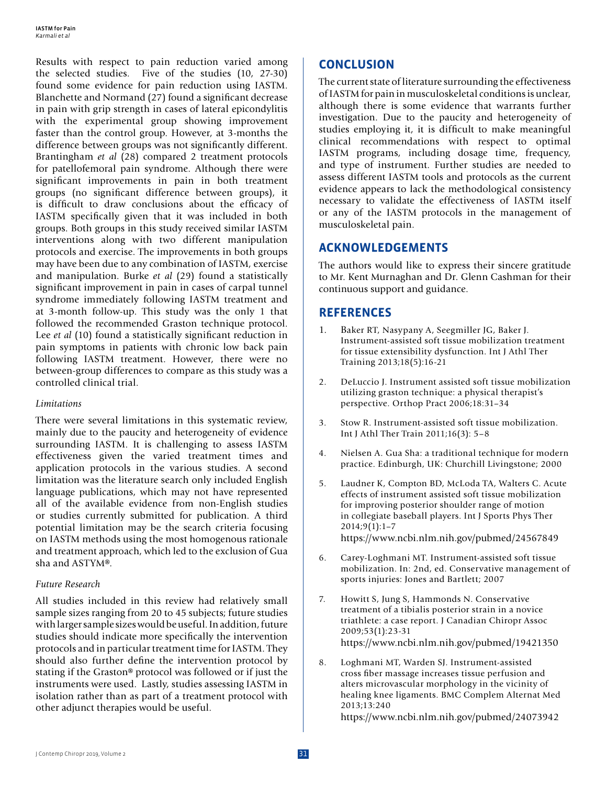Results with respect to pain reduction varied among the selected studies. Five of the studies (10, 27-30) found some evidence for pain reduction using IASTM. Blanchette and Normand (27) found a significant decrease in pain with grip strength in cases of lateral epicondylitis with the experimental group showing improvement faster than the control group. However, at 3-months the difference between groups was not significantly different. Brantingham *et al* (28) compared 2 treatment protocols for patellofemoral pain syndrome. Although there were significant improvements in pain in both treatment groups (no significant difference between groups), it is difficult to draw conclusions about the efficacy of IASTM specifically given that it was included in both groups. Both groups in this study received similar IASTM interventions along with two different manipulation protocols and exercise. The improvements in both groups may have been due to any combination of IASTM, exercise and manipulation. Burke *et al* (29) found a statistically significant improvement in pain in cases of carpal tunnel syndrome immediately following IASTM treatment and at 3-month follow-up. This study was the only 1 that followed the recommended Graston technique protocol. Lee *et al* (10) found a statistically significant reduction in pain symptoms in patients with chronic low back pain following IASTM treatment. However, there were no between-group differences to compare as this study was a controlled clinical trial.

#### *Limitations*

There were several limitations in this systematic review, mainly due to the paucity and heterogeneity of evidence surrounding IASTM. It is challenging to assess IASTM effectiveness given the varied treatment times and application protocols in the various studies. A second limitation was the literature search only included English language publications, which may not have represented all of the available evidence from non-English studies or studies currently submitted for publication. A third potential limitation may be the search criteria focusing on IASTM methods using the most homogenous rationale and treatment approach, which led to the exclusion of Gua sha and ASTYM®.

#### *Future Research*

All studies included in this review had relatively small sample sizes ranging from 20 to 45 subjects; future studies with larger sample sizes would be useful. In addition, future studies should indicate more specifically the intervention protocols and in particular treatment time for IASTM. They should also further define the intervention protocol by stating if the Graston® protocol was followed or if just the instruments were used. Lastly, studies assessing IASTM in isolation rather than as part of a treatment protocol with other adjunct therapies would be useful.

# **CONCLUSION**

The current state of literature surrounding the effectiveness of IASTM for pain in musculoskeletal conditions is unclear, although there is some evidence that warrants further investigation. Due to the paucity and heterogeneity of studies employing it, it is difficult to make meaningful clinical recommendations with respect to optimal IASTM programs, including dosage time, frequency, and type of instrument. Further studies are needed to assess different IASTM tools and protocols as the current evidence appears to lack the methodological consistency necessary to validate the effectiveness of IASTM itself or any of the IASTM protocols in the management of musculoskeletal pain.

# **ACKNOWLEDGEMENTS**

The authors would like to express their sincere gratitude to Mr. Kent Murnaghan and Dr. Glenn Cashman for their continuous support and guidance.

# **REFERENCES**

- 1. Baker RT, Nasypany A, Seegmiller JG, Baker J. Instrument-assisted soft tissue mobilization treatment for tissue extensibility dysfunction. Int J Athl Ther Training 2013;18(5):16-21
- 2. DeLuccio J. Instrument assisted soft tissue mobilization utilizing graston technique: a physical therapist's perspective. Orthop Pract 2006;18:31–34
- 3. Stow R. Instrument-assisted soft tissue mobilization. Int J Athl Ther Train 2011;16(3): 5–8
- 4. Nielsen A. Gua Sha: a traditional technique for modern practice. Edinburgh, UK: Churchill Livingstone; 2000
- 5. Laudner K, Compton BD, McLoda TA, Walters C. Acute effects of instrument assisted soft tissue mobilization for improving posterior shoulder range of motion in collegiate baseball players. Int J Sports Phys Ther  $2014;9(1):1-7$ https://www.ncbi.nlm.nih.gov/pubmed/24567849
- 6. Carey-Loghmani MT. Instrument-assisted soft tissue mobilization. In: 2nd, ed. Conservative management of sports injuries: Jones and Bartlett; 2007
- 7. Howitt S, Jung S, Hammonds N. Conservative treatment of a tibialis posterior strain in a novice triathlete: a case report. J Canadian Chiropr Assoc 2009;53(1):23-31 https://www.ncbi.nlm.nih.gov/pubmed/19421350
- 8. Loghmani MT, Warden SJ. Instrument-assisted cross fiber massage increases tissue perfusion and alters microvascular morphology in the vicinity of healing knee ligaments. BMC Complem Alternat Med 2013;13:240 https://www.ncbi.nlm.nih.gov/pubmed/24073942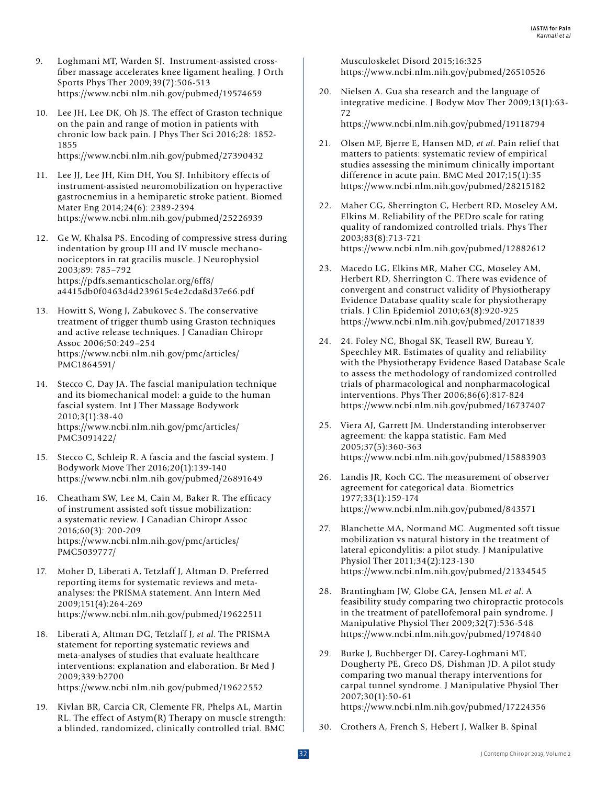- 9. Loghmani MT, Warden SJ. Instrument-assisted crossfiber massage accelerates knee ligament healing. J Orth Sports Phys Ther 2009;39(7):506-513 https://www.ncbi.nlm.nih.gov/pubmed/19574659
- 10. Lee JH, Lee DK, Oh JS. The effect of Graston technique on the pain and range of motion in patients with chronic low back pain. J Phys Ther Sci 2016;28: 1852- 1855 https://www.ncbi.nlm.nih.gov/pubmed/27390432
- 11. Lee JJ, Lee JH, Kim DH, You SJ. Inhibitory effects of instrument-assisted neuromobilization on hyperactive gastrocnemius in a hemiparetic stroke patient. Biomed Mater Eng 2014;24(6): 2389-2394 https://www.ncbi.nlm.nih.gov/pubmed/25226939
- 12. Ge W, Khalsa PS. Encoding of compressive stress during indentation by group III and IV muscle mechanonociceptors in rat gracilis muscle. J Neurophysiol 2003;89: 785–792 https://pdfs.semanticscholar.org/6ff8/ a4415db0f0463d4d239615c4e2cda8d37e66.pdf
- 13. Howitt S, Wong J, Zabukovec S. The conservative treatment of trigger thumb using Graston techniques and active release techniques. J Canadian Chiropr Assoc 2006;50:249–254 https://www.ncbi.nlm.nih.gov/pmc/articles/ PMC1864591/
- 14. Stecco C, Day JA. The fascial manipulation technique and its biomechanical model: a guide to the human fascial system. Int J Ther Massage Bodywork 2010;3(1):38-40 https://www.ncbi.nlm.nih.gov/pmc/articles/ PMC3091422/
- 15. Stecco C, Schleip R. A fascia and the fascial system. J Bodywork Move Ther 2016;20(1):139-140 https://www.ncbi.nlm.nih.gov/pubmed/26891649
- 16. Cheatham SW, Lee M, Cain M, Baker R. The efficacy of instrument assisted soft tissue mobilization: a systematic review. J Canadian Chiropr Assoc 2016;60(3): 200-209 https://www.ncbi.nlm.nih.gov/pmc/articles/ PMC5039777/
- 17. Moher D, Liberati A, Tetzlaff J, Altman D. Preferred reporting items for systematic reviews and metaanalyses: the PRISMA statement. Ann Intern Med 2009;151(4):264-269 https://www.ncbi.nlm.nih.gov/pubmed/19622511
- 18. Liberati A, Altman DG, Tetzlaff J, *et al*. The PRISMA statement for reporting systematic reviews and meta-analyses of studies that evaluate healthcare interventions: explanation and elaboration. Br Med J 2009;339:b2700 https://www.ncbi.nlm.nih.gov/pubmed/19622552
- 19. Kivlan BR, Carcia CR, Clemente FR, Phelps AL, Martin RL. The effect of Astym(R) Therapy on muscle strength: a blinded, randomized, clinically controlled trial. BMC

Musculoskelet Disord 2015;16:325 https://www.ncbi.nlm.nih.gov/pubmed/26510526

- 20. Nielsen A. Gua sha research and the language of integrative medicine. J Bodyw Mov Ther 2009;13(1):63- 72 https://www.ncbi.nlm.nih.gov/pubmed/19118794
- 21. Olsen MF, Bjerre E, Hansen MD, *et al*. Pain relief that matters to patients: systematic review of empirical studies assessing the minimum clinically important difference in acute pain. BMC Med 2017;15(1):35 https://www.ncbi.nlm.nih.gov/pubmed/28215182
- 22. Maher CG, Sherrington C, Herbert RD, Moseley AM, Elkins M. Reliability of the PEDro scale for rating quality of randomized controlled trials. Phys Ther 2003;83(8):713-721 https://www.ncbi.nlm.nih.gov/pubmed/12882612
- 23. Macedo LG, Elkins MR, Maher CG, Moseley AM, Herbert RD, Sherrington C. There was evidence of convergent and construct validity of Physiotherapy Evidence Database quality scale for physiotherapy trials. J Clin Epidemiol 2010;63(8):920-925 https://www.ncbi.nlm.nih.gov/pubmed/20171839
- 24. 24. Foley NC, Bhogal SK, Teasell RW, Bureau Y, Speechley MR. Estimates of quality and reliability with the Physiotherapy Evidence Based Database Scale to assess the methodology of randomized controlled trials of pharmacological and nonpharmacological interventions. Phys Ther 2006;86(6):817-824 https://www.ncbi.nlm.nih.gov/pubmed/16737407
- 25. Viera AJ, Garrett JM. Understanding interobserver agreement: the kappa statistic. Fam Med 2005;37(5):360-363 https://www.ncbi.nlm.nih.gov/pubmed/15883903
- 26. Landis JR, Koch GG. The measurement of observer agreement for categorical data. Biometrics 1977;33(1):159-174 https://www.ncbi.nlm.nih.gov/pubmed/843571
- 27. Blanchette MA, Normand MC. Augmented soft tissue mobilization vs natural history in the treatment of lateral epicondylitis: a pilot study. J Manipulative Physiol Ther 2011;34(2):123-130 https://www.ncbi.nlm.nih.gov/pubmed/21334545
- 28. Brantingham JW, Globe GA, Jensen ML *et al*. A feasibility study comparing two chiropractic protocols in the treatment of patellofemoral pain syndrome. J Manipulative Physiol Ther 2009;32(7):536-548 https://www.ncbi.nlm.nih.gov/pubmed/1974840
- 29. Burke J, Buchberger DJ, Carey-Loghmani MT, Dougherty PE, Greco DS, Dishman JD. A pilot study comparing two manual therapy interventions for carpal tunnel syndrome. J Manipulative Physiol Ther 2007;30(1):50-61 https://www.ncbi.nlm.nih.gov/pubmed/17224356
- 30. Crothers A, French S, Hebert J, Walker B. Spinal